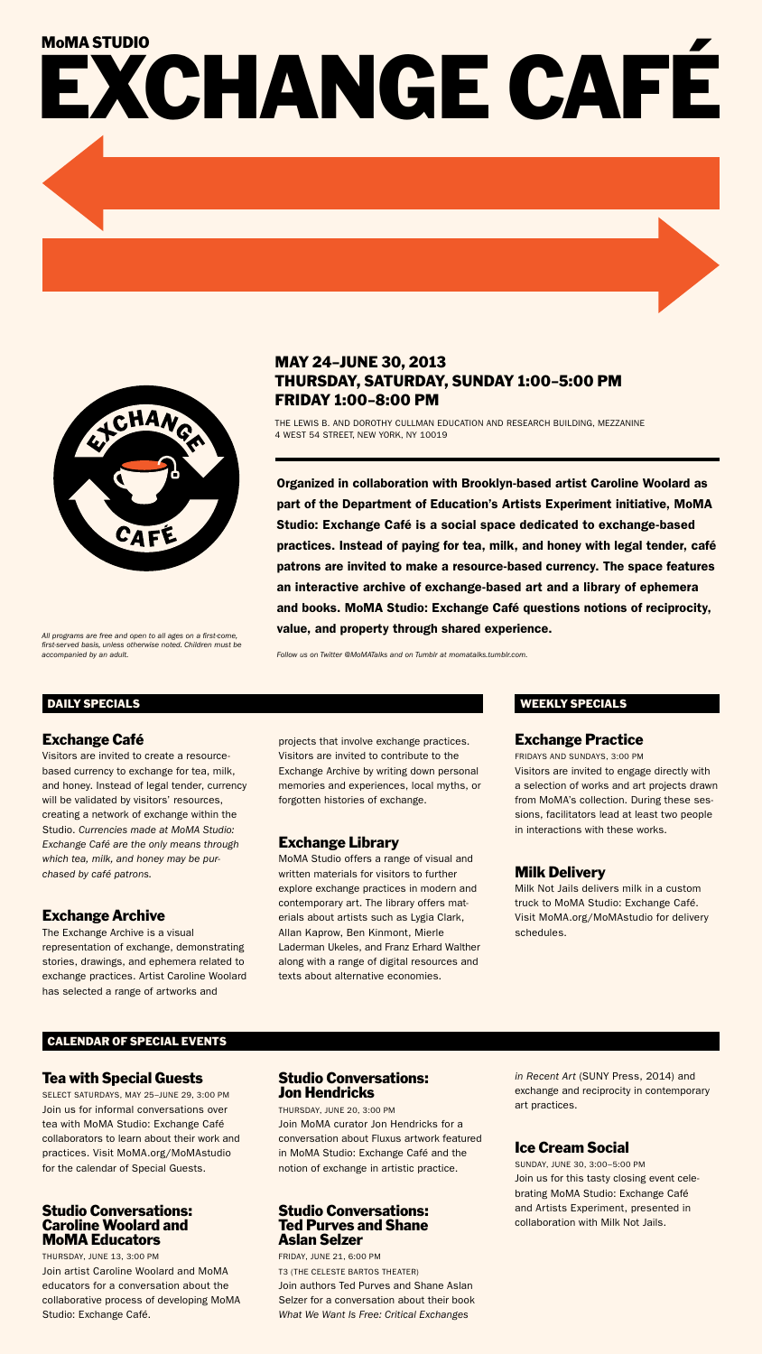# May 24–June 30, 2013 Thursday, Saturday, Sunday 1:00–5:00 pm Friday 1:00–8:00 pm

The Lewis B. and Dorothy Cullman Education and Research Building, Mezzanine 4 West 54 Street, New York, NY 10019

Organized in collaboration with Brooklyn-based artist Caroline Woolard as part of the Department of Education's Artists Experiment initiative, MoMA Studio: Exchange Café is a social space dedicated to exchange-based practices. Instead of paying for tea, milk, and honey with legal tender, café patrons are invited to make a resource-based currency. The space features an interactive archive of exchange-based art and a library of ephemera and books. MoMA Studio: Exchange Café questions notions of reciprocity, value, and property through shared experience.

*Follow us on Twitter @MoMATalks and on Tumblr at momatalks.tumblr.com.*

# Exchange Café

Visitors are invited to create a resourcebased currency to exchange for tea, milk, and honey. Instead of legal tender, currency will be validated by visitors' resources, creating a network of exchange within the Studio. *Currencies made at MoMA Studio: Exchange Café are the only means through which tea, milk, and honey may be purchased by café patrons.*

# Exchange Archive

The Exchange Archive is a visual representation of exchange, demonstrating stories, drawings, and ephemera related to exchange practices. Artist Caroline Woolard has selected a range of artworks and

projects that involve exchange practices. Visitors are invited to contribute to the Exchange Archive by writing down personal memories and experiences, local myths, or forgotten histories of exchange.

# Exchange Library

MoMA Studio offers a range of visual and written materials for visitors to further explore exchange practices in modern and contemporary art. The library offers materials about artists such as Lygia Clark, Allan Kaprow, Ben Kinmont, Mierle Laderman Ukeles, and Franz Erhard Walther along with a range of digital resources and texts about alternative economies.

### Exchange Practice

Fridays and Sundays, 3:00 pm Visitors are invited to engage directly with a selection of works and art projects drawn from MoMA's collection. During these sessions, facilitators lead at least two people in interactions with these works.

# Milk Delivery

Milk Not Jails delivers milk in a custom truck to MoMA Studio: Exchange Café. Visit MoMA.org/MoMAstudio for delivery schedules.

#### DAILY SPECIALS WEEKLY SPECIALS

## Tea with Special Guests

Select Saturdays, May 25–June 29, 3:00 pm Join us for informal conversations over tea with MoMA Studio: Exchange Café collaborators to learn about their work and practices. Visit MoMA.org/MoMAstudio for the calendar of Special Guests.

#### Studio Conversations: Caroline Woolard and MoMA Educators

Thursday, June 13, 3:00 pm Join artist Caroline Woolard and MoMA educators for a conversation about the collaborative process of developing MoMA Studio: Exchange Café.

#### Studio Conversations: Jon Hendricks

Thursday, June 20, 3:00 pm Join MoMA curator Jon Hendricks for a conversation about Fluxus artwork featured in MoMA Studio: Exchange Café and the notion of exchange in artistic practice.

#### Studio Conversations: Ted Purves and Shane Aslan Selzer

Friday, June 21, 6:00 pm

T3 (The Celeste Bartos Theater)

Join authors Ted Purves and Shane Aslan Selzer for a conversation about their book *What We Want Is Free: Critical Exchanges* 

*in Recent Art* (SUNY Press, 2014) and exchange and reciprocity in contemporary art practices.

# Ice Cream Social

Sunday, June 30, 3:00–5:00 pm Join us for this tasty closing event celebrating MoMA Studio: Exchange Café and Artists Experiment, presented in collaboration with Milk Not Jails.

# MoMASTUDIO<br>EXCHANGE CAFÉ



*All programs are free and open to all ages on a first-come, first-served basis, unless otherwise noted. Children must be accompanied by an adult.*